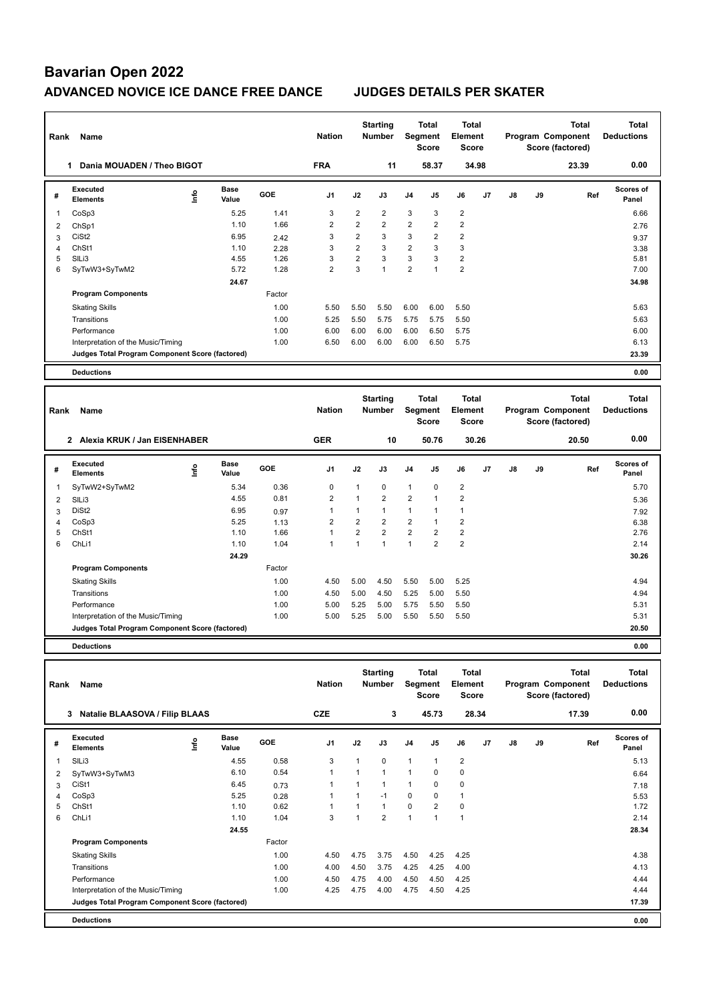| Rank | Name                                            |    |                      |        | <b>Nation</b>  |                | <b>Starting</b><br><b>Number</b> |                | <b>Total</b><br>Segment<br><b>Score</b> | <b>Total</b><br>Element<br><b>Score</b> |                |               |    | <b>Total</b><br>Program Component<br>Score (factored) | <b>Total</b><br><b>Deductions</b> |
|------|-------------------------------------------------|----|----------------------|--------|----------------|----------------|----------------------------------|----------------|-----------------------------------------|-----------------------------------------|----------------|---------------|----|-------------------------------------------------------|-----------------------------------|
|      | Dania MOUADEN / Theo BIGOT<br>1                 |    |                      |        | <b>FRA</b>     |                | 11                               |                | 58.37                                   |                                         | 34.98          |               |    | 23.39                                                 | 0.00                              |
| #    | <b>Executed</b><br><b>Elements</b>              | ۴  | <b>Base</b><br>Value | GOE    | J <sub>1</sub> | J2             | J3                               | J <sub>4</sub> | J <sub>5</sub>                          | J6                                      | J <sub>7</sub> | $\mathsf{J}8$ | J9 | Ref                                                   | Scores of<br>Panel                |
| 1    | CoSp3                                           |    | 5.25                 | 1.41   | 3              | $\overline{2}$ | 2                                | 3              | 3                                       | $\overline{2}$                          |                |               |    |                                                       | 6.66                              |
| 2    | ChSp1                                           |    | 1.10                 | 1.66   | $\overline{2}$ | $\overline{2}$ | $\overline{2}$                   | $\overline{2}$ | $\overline{2}$                          | $\overline{2}$                          |                |               |    |                                                       | 2.76                              |
| 3    | CiSt <sub>2</sub>                               |    | 6.95                 | 2.42   | 3              | $\overline{2}$ | 3                                | 3              | $\overline{2}$                          | $\overline{2}$                          |                |               |    |                                                       | 9.37                              |
| 4    | ChSt1                                           |    | 1.10                 | 2.28   | 3              | $\overline{2}$ | 3                                | 2              | 3                                       | 3                                       |                |               |    |                                                       | 3.38                              |
| 5    | SILi3                                           |    | 4.55                 | 1.26   | 3              | $\overline{2}$ | 3                                | 3              | 3                                       | $\overline{2}$                          |                |               |    |                                                       | 5.81                              |
| 6    | SyTwW3+SyTwM2                                   |    | 5.72                 | 1.28   | $\overline{2}$ | 3              | $\mathbf{1}$                     | $\overline{2}$ | 1                                       | $\overline{2}$                          |                |               |    |                                                       | 7.00                              |
|      |                                                 |    | 24.67                |        |                |                |                                  |                |                                         |                                         |                |               |    |                                                       | 34.98                             |
|      | <b>Program Components</b>                       |    |                      | Factor |                |                |                                  |                |                                         |                                         |                |               |    |                                                       |                                   |
|      | <b>Skating Skills</b>                           |    |                      | 1.00   | 5.50           | 5.50           | 5.50                             | 6.00           | 6.00                                    | 5.50                                    |                |               |    |                                                       | 5.63                              |
|      | Transitions                                     |    |                      | 1.00   | 5.25           | 5.50           | 5.75                             | 5.75           | 5.75                                    | 5.50                                    |                |               |    |                                                       | 5.63                              |
|      | Performance                                     |    |                      | 1.00   | 6.00           | 6.00           | 6.00                             | 6.00           | 6.50                                    | 5.75                                    |                |               |    |                                                       | 6.00                              |
|      | Interpretation of the Music/Timing              |    |                      | 1.00   | 6.50           | 6.00           | 6.00                             | 6.00           | 6.50                                    | 5.75                                    |                |               |    |                                                       | 6.13                              |
|      | Judges Total Program Component Score (factored) |    |                      |        |                |                |                                  |                |                                         |                                         |                |               |    |                                                       | 23.39                             |
|      | <b>Deductions</b>                               |    |                      |        |                |                |                                  |                |                                         |                                         |                |               |    |                                                       | 0.00                              |
|      |                                                 |    |                      |        |                |                |                                  |                |                                         |                                         |                |               |    |                                                       |                                   |
| Rank | Name                                            |    |                      |        | <b>Nation</b>  |                | <b>Starting</b><br><b>Number</b> |                | <b>Total</b><br>Segment<br><b>Score</b> | <b>Total</b><br>Element<br>Score        |                |               |    | <b>Total</b><br>Program Component<br>Score (factored) | <b>Total</b><br><b>Deductions</b> |
|      | 2 Alexia KRUK / Jan EISENHABER                  |    |                      |        | <b>GER</b>     |                | 10                               |                | 50.76                                   |                                         | 30.26          |               |    | 20.50                                                 | 0.00                              |
| #    | Executed<br><b>Elements</b>                     | ۴ů | <b>Base</b><br>Value | GOE    | J <sub>1</sub> | J2             | J3                               | J <sub>4</sub> | J <sub>5</sub>                          | J6                                      | J7             | J8            | J9 | Ref                                                   | Scores of<br>Panel                |
| 1    | SyTwW2+SyTwM2                                   |    | 5.34                 | 0.36   | 0              | 1              | 0                                | 1              | 0                                       | 2                                       |                |               |    |                                                       | 5.70                              |

 SlLi3 4.55 0.81 2 1 2 2 1 2 5.36 DiSt2 6.95 0.97 1 1 1 1 1 1 7.92 CoSp3 5.25 1.13 2 2 2 2 1 2 6.38 ChSt1 1.10 1.66 1 2 2 2 2 2 2.76 ChLi1 1.10 1.04 1 1 1 1 2 2 2.14

Skating Skills 4.50 5.00 4.50 5.50 5.00 5.25 1.00 4.94

Transitions 1.00 4.50 5.00 4.50 5.25 5.00 5.50 4.94 Performance 2.00 5.00 5.00 5.25 5.00 5.75 5.50 5.50 5.31 5.31 Interpretation of the Music/Timing 1.00 5.00 5.25 5.00 5.50 5.50 5.50 5.31 5.31

**Judges Total Program Component Score (factored) 20.50**

 **24.29 30.26**

1 5.34 0.36 0 1 0 1 0 2

Factor

**Deductions 0.00**

**Program Components** 

|   | Name<br>Rank                                    |      |                      |        |                | <b>Starting</b><br><b>Nation</b><br><b>Number</b> |                |                | <b>Total</b><br><b>Total</b><br>Segment<br>Element<br><b>Score</b><br><b>Score</b> |                |                | Total<br>Program Component<br>Score (factored) |    |       | Total<br><b>Deductions</b> |
|---|-------------------------------------------------|------|----------------------|--------|----------------|---------------------------------------------------|----------------|----------------|------------------------------------------------------------------------------------|----------------|----------------|------------------------------------------------|----|-------|----------------------------|
|   | <b>Natalie BLAASOVA / Filip BLAAS</b><br>3      |      |                      |        | <b>CZE</b>     |                                                   | 3              |                | 45.73                                                                              | 28.34          |                |                                                |    | 17.39 | 0.00                       |
| # | Executed<br><b>Elements</b>                     | Info | <b>Base</b><br>Value | GOE    | J <sub>1</sub> | J2                                                | J3             | J <sub>4</sub> | J5                                                                                 | J6             | J <sub>7</sub> | J8                                             | J9 | Ref   | <b>Scores of</b><br>Panel  |
| 1 | SILi3                                           |      | 4.55                 | 0.58   | 3              | $\mathbf{1}$                                      | $\Omega$       | $\mathbf{1}$   | 1                                                                                  | $\overline{2}$ |                |                                                |    |       | 5.13                       |
| 2 | SyTwW3+SyTwM3                                   |      | 6.10                 | 0.54   | 1              | $\overline{1}$                                    | $\overline{1}$ | 1              | $\Omega$                                                                           | $\mathbf 0$    |                |                                                |    |       | 6.64                       |
| 3 | CiSt1                                           |      | 6.45                 | 0.73   | 1              |                                                   | 1              | $\overline{1}$ | $\Omega$                                                                           | 0              |                |                                                |    |       | 7.18                       |
| 4 | CoSp3                                           |      | 5.25                 | 0.28   | 1              |                                                   | $-1$           | 0              | 0                                                                                  | $\mathbf{1}$   |                |                                                |    |       | 5.53                       |
| 5 | ChSt1                                           |      | 1.10                 | 0.62   | 1              |                                                   | 1              | $\Omega$       | $\overline{2}$                                                                     | 0              |                |                                                |    |       | 1.72                       |
| 6 | ChLi1                                           |      | 1.10                 | 1.04   | 3              |                                                   | $\overline{2}$ | $\overline{1}$ |                                                                                    | $\overline{1}$ |                |                                                |    |       | 2.14                       |
|   |                                                 |      | 24.55                |        |                |                                                   |                |                |                                                                                    |                |                |                                                |    |       | 28.34                      |
|   | <b>Program Components</b>                       |      |                      | Factor |                |                                                   |                |                |                                                                                    |                |                |                                                |    |       |                            |
|   | <b>Skating Skills</b>                           |      |                      | 1.00   | 4.50           | 4.75                                              | 3.75           | 4.50           | 4.25                                                                               | 4.25           |                |                                                |    |       | 4.38                       |
|   | Transitions                                     |      |                      | 1.00   | 4.00           | 4.50                                              | 3.75           | 4.25           | 4.25                                                                               | 4.00           |                |                                                |    |       | 4.13                       |
|   | Performance                                     |      |                      | 1.00   | 4.50           | 4.75                                              | 4.00           | 4.50           | 4.50                                                                               | 4.25           |                |                                                |    |       | 4.44                       |
|   | Interpretation of the Music/Timing              |      |                      | 1.00   | 4.25           | 4.75                                              | 4.00           | 4.75           | 4.50                                                                               | 4.25           |                |                                                |    |       | 4.44                       |
|   | Judges Total Program Component Score (factored) |      |                      |        |                |                                                   |                |                |                                                                                    |                |                |                                                |    |       | 17.39                      |
|   | <b>Deductions</b>                               |      |                      |        |                |                                                   |                |                |                                                                                    |                |                |                                                |    |       | 0.00                       |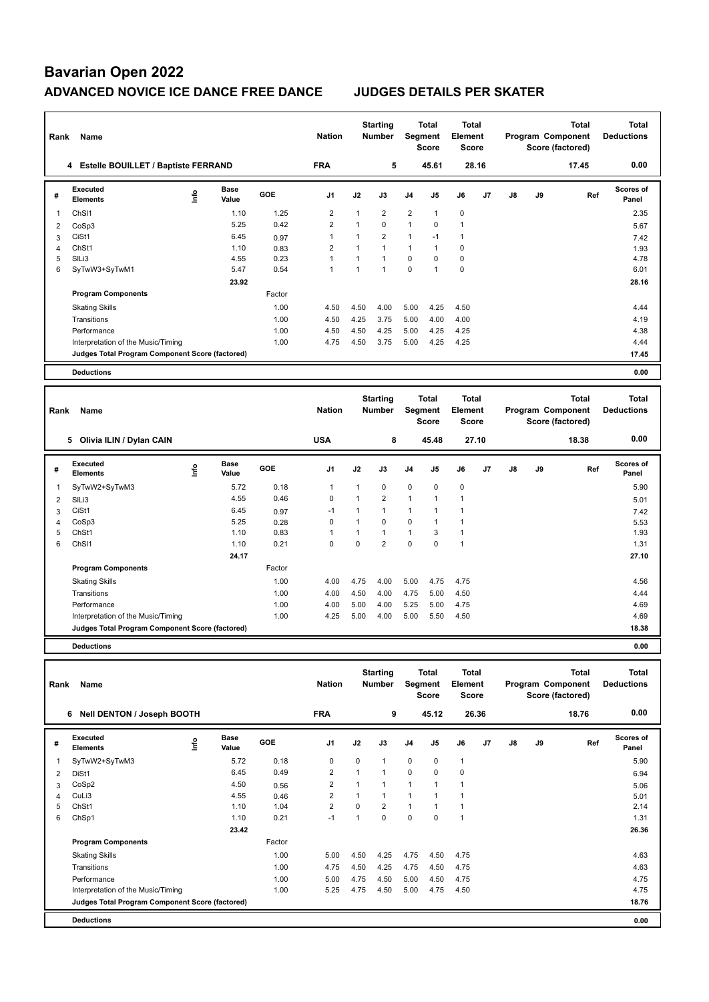| Rank | Name                                            |    | <b>Starting</b><br><b>Nation</b><br><b>Number</b> |            |                | <b>Total</b><br>Segment<br><b>Score</b> |                                  |                | <b>Total</b><br>Element<br><b>Score</b> |                                         | Program Component<br>Score (factored) |    | Total<br><b>Deductions</b> |                                                       |                            |
|------|-------------------------------------------------|----|---------------------------------------------------|------------|----------------|-----------------------------------------|----------------------------------|----------------|-----------------------------------------|-----------------------------------------|---------------------------------------|----|----------------------------|-------------------------------------------------------|----------------------------|
|      | 4 Estelle BOUILLET / Baptiste FERRAND           |    |                                                   |            | <b>FRA</b>     |                                         | 5                                |                | 45.61                                   | 28.16                                   |                                       |    |                            | 17.45                                                 | 0.00                       |
| #    | Executed<br><b>Elements</b>                     | ۴ů | <b>Base</b><br>Value                              | <b>GOE</b> | J <sub>1</sub> | J2                                      | J3                               | J <sub>4</sub> | J <sub>5</sub>                          | J6                                      | J <sub>7</sub>                        | J8 | J9                         | Ref                                                   | <b>Scores of</b><br>Panel  |
| 1    | ChS <sub>11</sub>                               |    | 1.10                                              | 1.25       | $\overline{2}$ |                                         | $\overline{2}$                   | $\overline{2}$ | $\mathbf{1}$                            | $\Omega$                                |                                       |    |                            |                                                       | 2.35                       |
| 2    | CoSp3                                           |    | 5.25                                              | 0.42       | $\overline{2}$ | $\mathbf{1}$                            | $\mathbf 0$                      | $\mathbf{1}$   | 0                                       | $\mathbf{1}$                            |                                       |    |                            |                                                       | 5.67                       |
| 3    | CiSt1                                           |    | 6.45                                              | 0.97       | $\overline{1}$ |                                         | $\overline{2}$                   | $\mathbf{1}$   | $-1$                                    | $\mathbf{1}$                            |                                       |    |                            |                                                       | 7.42                       |
| 4    | ChSt1                                           |    | 1.10                                              | 0.83       | $\overline{2}$ |                                         | $\mathbf{1}$                     | $\mathbf{1}$   | $\mathbf{1}$                            | $\mathbf 0$                             |                                       |    |                            |                                                       | 1.93                       |
| 5    | SILi3                                           |    | 4.55                                              | 0.23       | $\overline{1}$ |                                         | $\mathbf{1}$                     | $\mathbf 0$    | $\Omega$                                | $\mathbf 0$                             |                                       |    |                            |                                                       | 4.78                       |
| 6    | SyTwW3+SyTwM1                                   |    | 5.47                                              | 0.54       | $\overline{1}$ | $\mathbf{1}$                            | $\overline{1}$                   | $\Omega$       | 1                                       | $\mathbf 0$                             |                                       |    |                            |                                                       | 6.01                       |
|      |                                                 |    | 23.92                                             |            |                |                                         |                                  |                |                                         |                                         |                                       |    |                            |                                                       | 28.16                      |
|      | <b>Program Components</b>                       |    |                                                   | Factor     |                |                                         |                                  |                |                                         |                                         |                                       |    |                            |                                                       |                            |
|      | <b>Skating Skills</b>                           |    |                                                   | 1.00       | 4.50           | 4.50                                    | 4.00                             | 5.00           | 4.25                                    | 4.50                                    |                                       |    |                            |                                                       | 4.44                       |
|      | Transitions                                     |    |                                                   | 1.00       | 4.50           | 4.25                                    | 3.75                             | 5.00           | 4.00                                    | 4.00                                    |                                       |    |                            |                                                       | 4.19                       |
|      | Performance                                     |    |                                                   | 1.00       | 4.50           | 4.50                                    | 4.25                             | 5.00           | 4.25                                    | 4.25                                    |                                       |    |                            |                                                       | 4.38                       |
|      | Interpretation of the Music/Timing              |    |                                                   | 1.00       | 4.75           | 4.50                                    | 3.75                             | 5.00           | 4.25                                    | 4.25                                    |                                       |    |                            |                                                       | 4.44                       |
|      | Judges Total Program Component Score (factored) |    |                                                   |            |                |                                         |                                  |                |                                         |                                         |                                       |    |                            |                                                       | 17.45                      |
|      | <b>Deductions</b>                               |    |                                                   |            |                |                                         |                                  |                |                                         |                                         |                                       |    |                            |                                                       | 0.00                       |
|      |                                                 |    |                                                   |            |                |                                         |                                  |                |                                         |                                         |                                       |    |                            |                                                       |                            |
| Rank | Name                                            |    |                                                   |            | <b>Nation</b>  |                                         | <b>Starting</b><br><b>Number</b> | <b>Segment</b> | <b>Total</b><br><b>Score</b>            | <b>Total</b><br>Element<br><b>Score</b> |                                       |    |                            | <b>Total</b><br>Program Component<br>Score (factored) | Total<br><b>Deductions</b> |

|   | 5 Olivia ILIN / Dylan CAIN                      |      |                      |            | <b>USA</b>     |      | 8              |                          | 45.48          |             | 27.10          |    |    | 18.38 | 0.00               |
|---|-------------------------------------------------|------|----------------------|------------|----------------|------|----------------|--------------------------|----------------|-------------|----------------|----|----|-------|--------------------|
| # | Executed<br><b>Elements</b>                     | ١nf٥ | <b>Base</b><br>Value | <b>GOE</b> | J <sub>1</sub> | J2   | J3             | J <sub>4</sub>           | J <sub>5</sub> | J6          | J <sub>7</sub> | J8 | J9 | Ref   | Scores of<br>Panel |
|   | SyTwW2+SyTwM3                                   |      | 5.72                 | 0.18       |                | 1    | $\mathbf 0$    | $\mathbf 0$              | 0              | $\mathbf 0$ |                |    |    |       | 5.90               |
| 2 | SIL <sub>i3</sub>                               |      | 4.55                 | 0.46       | 0              | 1    | $\overline{2}$ | $\overline{1}$           | $\mathbf{1}$   |             |                |    |    |       | 5.01               |
| 3 | CiSt1                                           |      | 6.45                 | 0.97       | $-1$           | 1    | 1              | $\overline{\phantom{a}}$ | $\overline{1}$ |             |                |    |    |       | 7.42               |
| 4 | CoSp3                                           |      | 5.25                 | 0.28       | 0              | 1    | $\Omega$       | $\mathbf 0$              | 1              |             |                |    |    |       | 5.53               |
| 5 | ChSt1                                           |      | 1.10                 | 0.83       | 1              | 1    | 1              | $\overline{1}$           | 3              |             |                |    |    |       | 1.93               |
| 6 | Ch <sub>SI1</sub>                               |      | 1.10                 | 0.21       | 0              | 0    | $\overline{2}$ | 0                        | 0              | 1           |                |    |    |       | 1.31               |
|   |                                                 |      | 24.17                |            |                |      |                |                          |                |             |                |    |    |       | 27.10              |
|   | <b>Program Components</b>                       |      |                      | Factor     |                |      |                |                          |                |             |                |    |    |       |                    |
|   | <b>Skating Skills</b>                           |      |                      | 1.00       | 4.00           | 4.75 | 4.00           | 5.00                     | 4.75           | 4.75        |                |    |    |       | 4.56               |
|   | Transitions                                     |      |                      | 1.00       | 4.00           | 4.50 | 4.00           | 4.75                     | 5.00           | 4.50        |                |    |    |       | 4.44               |
|   | Performance                                     |      |                      | 1.00       | 4.00           | 5.00 | 4.00           | 5.25                     | 5.00           | 4.75        |                |    |    |       | 4.69               |
|   | Interpretation of the Music/Timing              |      |                      | 1.00       | 4.25           | 5.00 | 4.00           | 5.00                     | 5.50           | 4.50        |                |    |    |       | 4.69               |
|   | Judges Total Program Component Score (factored) |      |                      |            |                |      |                |                          |                |             |                |    |    |       | 18.38              |

**Deductions 0.00**

|   | Name<br>Rank                                    |      |                      |            |                | <b>Starting</b><br><b>Nation</b><br><b>Number</b> |              | Total<br>Segment<br><b>Score</b> |             | <b>Total</b><br>Element<br><b>Score</b> |    | Total<br>Program Component<br>Score (factored) |    |       | Total<br><b>Deductions</b> |
|---|-------------------------------------------------|------|----------------------|------------|----------------|---------------------------------------------------|--------------|----------------------------------|-------------|-----------------------------------------|----|------------------------------------------------|----|-------|----------------------------|
|   | 6<br><b>Nell DENTON / Joseph BOOTH</b>          |      |                      |            | <b>FRA</b>     |                                                   | 9            |                                  | 45.12       | 26.36                                   |    |                                                |    | 18.76 | 0.00                       |
| # | <b>Executed</b><br><b>Elements</b>              | ١nfo | <b>Base</b><br>Value | <b>GOE</b> | J <sub>1</sub> | J2                                                | J3           | J4                               | J5          | J6                                      | J7 | J8                                             | J9 | Ref   | Scores of<br>Panel         |
| 1 | SyTwW2+SyTwM3                                   |      | 5.72                 | 0.18       | 0              | 0                                                 | 1            | $\mathbf 0$                      | 0           | $\mathbf{1}$                            |    |                                                |    |       | 5.90                       |
| 2 | DiSt1                                           |      | 6.45                 | 0.49       | $\overline{2}$ |                                                   | $\mathbf{1}$ | $\mathbf 0$                      | $\mathbf 0$ | $\mathbf 0$                             |    |                                                |    |       | 6.94                       |
| 3 | CoSp2                                           |      | 4.50                 | 0.56       | $\overline{2}$ |                                                   | $\mathbf{1}$ | $\overline{1}$                   | 1           | 1                                       |    |                                                |    |       | 5.06                       |
|   | CuLi3                                           |      | 4.55                 | 0.46       | $\overline{2}$ | 1                                                 | $\mathbf{1}$ | 1                                |             | $\mathbf{1}$                            |    |                                                |    |       | 5.01                       |
| 5 | ChSt1                                           |      | 1.10                 | 1.04       | $\overline{2}$ | $\Omega$                                          | 2            | $\mathbf{1}$                     |             | $\mathbf{1}$                            |    |                                                |    |       | 2.14                       |
| 6 | ChSp1                                           |      | 1.10                 | 0.21       | $-1$           | 1                                                 | 0            | $\mathbf 0$                      | 0           | $\mathbf{1}$                            |    |                                                |    |       | 1.31                       |
|   |                                                 |      | 23.42                |            |                |                                                   |              |                                  |             |                                         |    |                                                |    |       | 26.36                      |
|   | <b>Program Components</b>                       |      |                      | Factor     |                |                                                   |              |                                  |             |                                         |    |                                                |    |       |                            |
|   | <b>Skating Skills</b>                           |      |                      | 1.00       | 5.00           | 4.50                                              | 4.25         | 4.75                             | 4.50        | 4.75                                    |    |                                                |    |       | 4.63                       |
|   | Transitions                                     |      |                      | 1.00       | 4.75           | 4.50                                              | 4.25         | 4.75                             | 4.50        | 4.75                                    |    |                                                |    |       | 4.63                       |
|   | Performance                                     |      |                      | 1.00       | 5.00           | 4.75                                              | 4.50         | 5.00                             | 4.50        | 4.75                                    |    |                                                |    |       | 4.75                       |
|   | Interpretation of the Music/Timing              |      |                      | 1.00       | 5.25           | 4.75                                              | 4.50         | 5.00                             | 4.75        | 4.50                                    |    |                                                |    |       | 4.75                       |
|   | Judges Total Program Component Score (factored) |      |                      |            |                |                                                   |              |                                  |             |                                         |    |                                                |    |       | 18.76                      |
|   | <b>Deductions</b>                               |      |                      |            |                |                                                   |              |                                  |             |                                         |    |                                                |    |       | 0.00                       |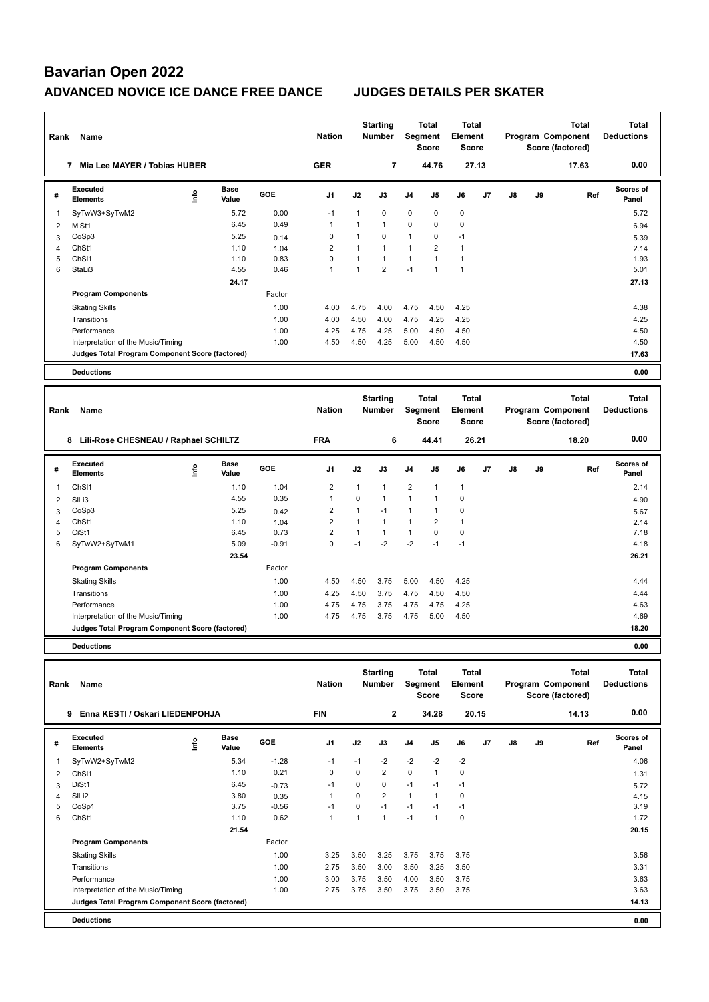| Rank           | Name                                               | <b>Nation</b> | <b>Starting</b><br><b>Number</b> |                | Total<br>Segment<br><b>Score</b> |                   | <b>Total</b><br>Element<br><b>Score</b> |                                |                     |                             | <b>Total</b><br>Program Component<br>Score (factored) | <b>Total</b><br><b>Deductions</b> |    |                   |                           |
|----------------|----------------------------------------------------|---------------|----------------------------------|----------------|----------------------------------|-------------------|-----------------------------------------|--------------------------------|---------------------|-----------------------------|-------------------------------------------------------|-----------------------------------|----|-------------------|---------------------------|
|                | 7 Mia Lee MAYER / Tobias HUBER                     |               |                                  |                | <b>GER</b>                       |                   | 7                                       |                                | 44.76               | 27.13                       |                                                       |                                   |    | 17.63             | 0.00                      |
| #              | <b>Executed</b><br><b>Elements</b>                 | ۴             | <b>Base</b><br>Value             | GOE            | J1                               | J2                | J3                                      | J4                             | J5                  | J6                          | J7                                                    | J8                                | J9 | Ref               | <b>Scores of</b><br>Panel |
| 1              | SyTwW3+SyTwM2                                      |               | 5.72                             | 0.00           | $-1$                             | 1                 | $\mathbf 0$                             | $\mathbf 0$                    | $\mathbf 0$         | $\mathbf 0$                 |                                                       |                                   |    |                   | 5.72                      |
| $\overline{2}$ | MiSt1                                              |               | 6.45                             | 0.49           | $\mathbf{1}$                     | $\mathbf{1}$      | $\mathbf{1}$                            | 0                              | $\mathbf 0$         | $\mathbf 0$                 |                                                       |                                   |    |                   | 6.94                      |
| 3              | CoSp3                                              |               | 5.25                             | 0.14           | $\Omega$                         | $\mathbf{1}$      | $\Omega$                                | $\mathbf{1}$                   | $\Omega$            | $-1$                        |                                                       |                                   |    |                   | 5.39                      |
| 4              | ChSt1                                              |               | 1.10                             | 1.04           | $\overline{2}$                   | $\mathbf{1}$      | $\mathbf{1}$                            | $\mathbf{1}$                   | $\overline{2}$      | $\mathbf{1}$                |                                                       |                                   |    |                   | 2.14                      |
| 5              | ChS <sub>11</sub>                                  |               | 1.10                             | 0.83           | $\mathbf 0$                      | $\mathbf{1}$      | $\mathbf{1}$                            | $\mathbf{1}$                   | $\mathbf{1}$        | $\mathbf{1}$                |                                                       |                                   |    |                   | 1.93                      |
| 6              | StaLi3                                             |               | 4.55                             | 0.46           | $\overline{1}$                   | $\mathbf{1}$      | $\overline{2}$                          | $-1$                           | 1                   | $\mathbf{1}$                |                                                       |                                   |    |                   | 5.01                      |
|                |                                                    |               | 24.17                            |                |                                  |                   |                                         |                                |                     |                             |                                                       |                                   |    |                   | 27.13                     |
|                | <b>Program Components</b>                          |               |                                  | Factor         |                                  |                   |                                         |                                |                     |                             |                                                       |                                   |    |                   |                           |
|                | <b>Skating Skills</b>                              |               |                                  | 1.00           | 4.00                             | 4.75              | 4.00                                    | 4.75                           | 4.50                | 4.25                        |                                                       |                                   |    |                   | 4.38                      |
|                | Transitions                                        |               |                                  | 1.00           | 4.00                             | 4.50              | 4.00                                    | 4.75                           | 4.25                | 4.25                        |                                                       |                                   |    |                   | 4.25                      |
|                | Performance                                        |               |                                  | 1.00           | 4.25                             | 4.75              | 4.25                                    | 5.00                           | 4.50                | 4.50                        |                                                       |                                   |    |                   | 4.50                      |
|                | Interpretation of the Music/Timing                 |               |                                  | 1.00           | 4.50                             | 4.50              | 4.25                                    | 5.00                           | 4.50                | 4.50                        |                                                       |                                   |    |                   | 4.50                      |
|                | Judges Total Program Component Score (factored)    |               |                                  |                |                                  |                   |                                         |                                |                     |                             |                                                       |                                   |    |                   | 17.63                     |
|                |                                                    |               |                                  |                |                                  |                   |                                         |                                |                     |                             |                                                       |                                   |    |                   |                           |
|                | <b>Deductions</b>                                  |               |                                  |                |                                  |                   |                                         |                                |                     |                             |                                                       |                                   |    |                   | 0.00                      |
|                |                                                    |               |                                  |                |                                  |                   |                                         |                                |                     |                             |                                                       |                                   |    |                   |                           |
|                |                                                    |               |                                  |                |                                  |                   | <b>Starting</b>                         |                                | <b>Total</b>        | <b>Total</b>                |                                                       |                                   |    | <b>Total</b>      | <b>Total</b>              |
| Rank           | Name                                               |               |                                  |                | <b>Nation</b>                    |                   | <b>Number</b>                           | Segment                        |                     | Element                     |                                                       |                                   |    | Program Component | <b>Deductions</b>         |
|                |                                                    |               |                                  |                |                                  |                   |                                         |                                | <b>Score</b>        | <b>Score</b>                |                                                       |                                   |    | Score (factored)  |                           |
|                | 8 Lili-Rose CHESNEAU / Raphael SCHILTZ             |               |                                  |                | <b>FRA</b>                       |                   | 6                                       |                                | 44.41               | 26.21                       |                                                       |                                   |    | 18.20             | 0.00                      |
| #              | Executed<br><b>Elements</b>                        | ١nf٥          | <b>Base</b>                      | GOE            | J1                               | J2                | J3                                      | J <sub>4</sub>                 | J5                  | J6                          | J <sub>7</sub>                                        | J8                                | J9 | Ref               | <b>Scores of</b><br>Panel |
| 1              |                                                    |               | Value                            |                |                                  |                   |                                         |                                |                     |                             |                                                       |                                   |    |                   |                           |
|                |                                                    |               |                                  |                |                                  | 1                 | $\mathbf{1}$                            |                                | 1                   |                             |                                                       |                                   |    |                   |                           |
|                | ChS <sub>11</sub>                                  |               | 1.10<br>4.55                     | 1.04<br>0.35   | $\boldsymbol{2}$<br>$\mathbf{1}$ | $\mathbf 0$       | $\mathbf{1}$                            | $\overline{2}$<br>$\mathbf{1}$ | $\mathbf{1}$        | $\mathbf{1}$<br>$\mathbf 0$ |                                                       |                                   |    |                   | 2.14                      |
| $\overline{2}$ | SILi3                                              |               |                                  |                |                                  |                   |                                         |                                |                     |                             |                                                       |                                   |    |                   | 4.90                      |
| 3              | CoSp3                                              |               | 5.25                             | 0.42           | $\overline{2}$                   | 1<br>$\mathbf{1}$ | $-1$<br>$\mathbf{1}$                    | $\mathbf{1}$<br>$\mathbf{1}$   | $\mathbf{1}$        | $\mathbf 0$<br>$\mathbf{1}$ |                                                       |                                   |    |                   | 5.67                      |
| 4              | ChSt1                                              |               | 1.10                             | 1.04           | $\overline{2}$                   | $\mathbf{1}$      | $\mathbf{1}$                            | $\mathbf{1}$                   | 2                   |                             |                                                       |                                   |    |                   | 2.14                      |
| 5              | CiSt1                                              |               | 6.45                             | 0.73           | $\overline{2}$<br>$\Omega$       | $-1$              | $-2$                                    | $-2$                           | $\mathbf 0$<br>$-1$ | $\mathbf 0$<br>$-1$         |                                                       |                                   |    |                   | 7.18                      |
| 6              | SyTwW2+SyTwM1                                      |               | 5.09                             | $-0.91$        |                                  |                   |                                         |                                |                     |                             |                                                       |                                   |    |                   | 4.18                      |
|                |                                                    |               | 23.54                            |                |                                  |                   |                                         |                                |                     |                             |                                                       |                                   |    |                   | 26.21                     |
|                | <b>Program Components</b><br><b>Skating Skills</b> |               |                                  | Factor<br>1.00 | 4.50                             | 4.50              | 3.75                                    | 5.00                           | 4.50                | 4.25                        |                                                       |                                   |    |                   | 4.44                      |

**Deductions 0.00**

| Rank           | Name                                            |      |                      |         | <b>Nation</b>  |                | <b>Starting</b><br><b>Number</b> | Segment        | <b>Total</b><br><b>Score</b> | <b>Total</b><br>Element<br><b>Score</b> |                |               |    | <b>Total</b><br>Program Component<br>Score (factored) | <b>Total</b><br><b>Deductions</b> |
|----------------|-------------------------------------------------|------|----------------------|---------|----------------|----------------|----------------------------------|----------------|------------------------------|-----------------------------------------|----------------|---------------|----|-------------------------------------------------------|-----------------------------------|
|                | Enna KESTI / Oskari LIEDENPOHJA<br>9            |      |                      |         | <b>FIN</b>     |                | $\mathbf{2}$                     |                | 34.28                        | 20.15                                   |                |               |    | 14.13                                                 | 0.00                              |
| #              | <b>Executed</b><br><b>Elements</b>              | ١nfo | <b>Base</b><br>Value | GOE     | J <sub>1</sub> | J2             | J3                               | J <sub>4</sub> | J5                           | J6                                      | J <sub>7</sub> | $\mathsf{J}8$ | J9 | Ref                                                   | Scores of<br>Panel                |
| 1              | SyTwW2+SyTwM2                                   |      | 5.34                 | $-1.28$ | $-1$           | $-1$           | $-2$                             | $-2$           | $-2$                         | $-2$                                    |                |               |    |                                                       | 4.06                              |
| $\overline{2}$ | ChS <sub>11</sub>                               |      | 1.10                 | 0.21    | $\Omega$       | $\Omega$       | $\overline{2}$                   | 0              | 1                            | 0                                       |                |               |    |                                                       | 1.31                              |
| 3              | DiSt1                                           |      | 6.45                 | $-0.73$ | $-1$           | $\Omega$       | 0                                | $-1$           | $-1$                         | $-1$                                    |                |               |    |                                                       | 5.72                              |
| 4              | SILi2                                           |      | 3.80                 | 0.35    | 1              | 0              | $\overline{2}$                   | $\mathbf{1}$   | 1                            | 0                                       |                |               |    |                                                       | 4.15                              |
| 5              | CoSp1                                           |      | 3.75                 | $-0.56$ | $-1$           | 0              | $-1$                             | $-1$           | $-1$                         | $-1$                                    |                |               |    |                                                       | 3.19                              |
| 6              | ChSt1                                           |      | 1.10                 | 0.62    | $\mathbf{1}$   | $\overline{1}$ | $\overline{1}$                   | $-1$           | 1                            | 0                                       |                |               |    |                                                       | 1.72                              |
|                |                                                 |      | 21.54                |         |                |                |                                  |                |                              |                                         |                |               |    |                                                       | 20.15                             |
|                | <b>Program Components</b>                       |      |                      | Factor  |                |                |                                  |                |                              |                                         |                |               |    |                                                       |                                   |
|                | <b>Skating Skills</b>                           |      |                      | 1.00    | 3.25           | 3.50           | 3.25                             | 3.75           | 3.75                         | 3.75                                    |                |               |    |                                                       | 3.56                              |
|                | Transitions                                     |      |                      | 1.00    | 2.75           | 3.50           | 3.00                             | 3.50           | 3.25                         | 3.50                                    |                |               |    |                                                       | 3.31                              |
|                | Performance                                     |      |                      | 1.00    | 3.00           | 3.75           | 3.50                             | 4.00           | 3.50                         | 3.75                                    |                |               |    |                                                       | 3.63                              |
|                | Interpretation of the Music/Timing              |      |                      | 1.00    | 2.75           | 3.75           | 3.50                             | 3.75           | 3.50                         | 3.75                                    |                |               |    |                                                       | 3.63                              |
|                | Judges Total Program Component Score (factored) |      |                      |         |                |                |                                  |                |                              |                                         |                |               |    |                                                       | 14.13                             |
|                | <b>Deductions</b>                               |      |                      |         |                |                |                                  |                |                              |                                         |                |               |    |                                                       | 0.00                              |

Performance 1.00 4.75 4.75 3.75 4.75 4.75 4.25 4.63 Interpretation of the Music/Timing 1.00 4.75 4.75 3.75 4.75 5.00 4.50 4.69

**Judges Total Program Component Score (factored) 18.20**